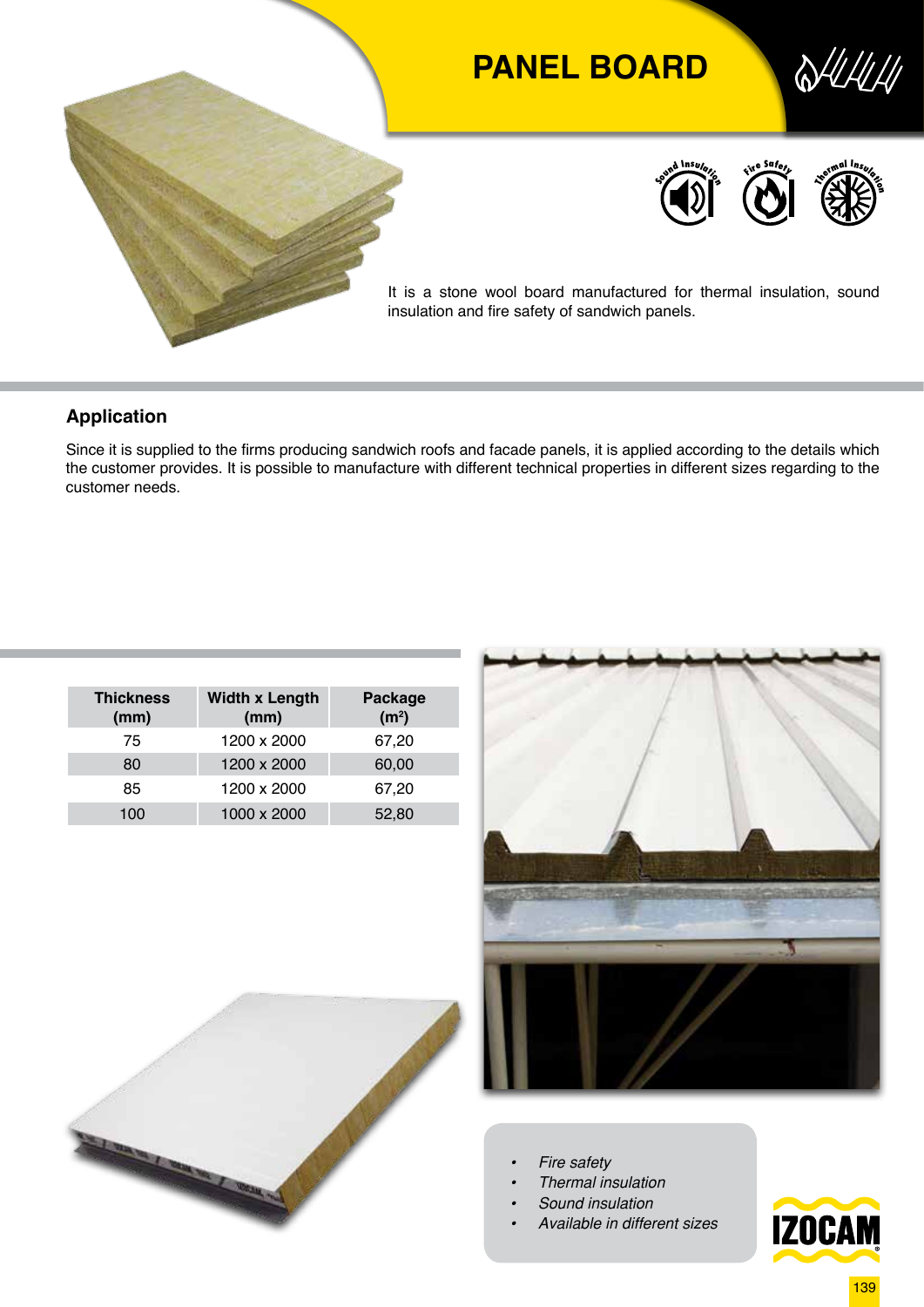

## **Application**

Since it is supplied to the firms producing sandwich roofs and facade panels, it is applied according to the details which the customer provides. It is possible to manufacture with different technical properties in different sizes regarding to the customer needs.

| <b>Width x Length</b><br>(mm) | Package<br>(m <sup>2</sup> ) |  |  |
|-------------------------------|------------------------------|--|--|
| 1200 x 2000                   | 67,20                        |  |  |
| 1200 x 2000                   | 60,00                        |  |  |
| 1200 x 2000                   | 67,20                        |  |  |
| 1000 x 2000                   | 52,80                        |  |  |
|                               |                              |  |  |





- *• Fire safety*
- *• Thermal insulation*
- *• Sound insulation*
- *• Available in different sizes*